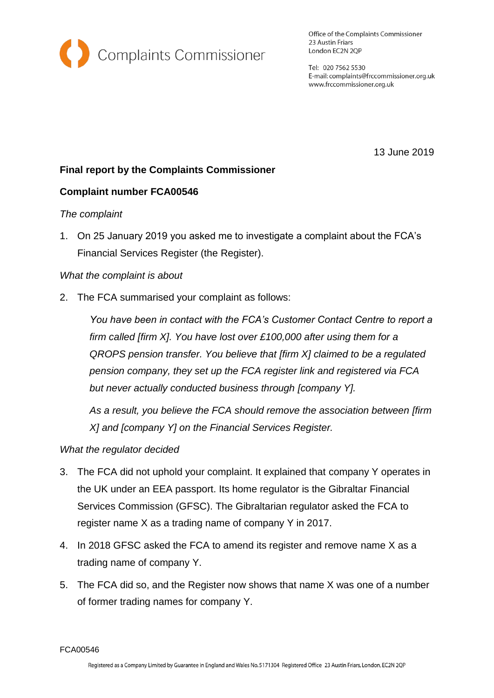

Office of the Complaints Commissioner 23 Austin Friars London EC2N 2QP

Tel: 020 7562 5530 E-mail: complaints@frccommissioner.org.uk www.frccommissioner.org.uk

13 June 2019

## **Final report by the Complaints Commissioner**

### **Complaint number FCA00546**

#### *The complaint*

1. On 25 January 2019 you asked me to investigate a complaint about the FCA's Financial Services Register (the Register).

#### *What the complaint is about*

2. The FCA summarised your complaint as follows:

*You have been in contact with the FCA's Customer Contact Centre to report a firm called [firm X]. You have lost over £100,000 after using them for a QROPS pension transfer. You believe that [firm X] claimed to be a regulated pension company, they set up the FCA register link and registered via FCA but never actually conducted business through [company Y].*

*As a result, you believe the FCA should remove the association between [firm X] and [company Y] on the Financial Services Register.*

#### *What the regulator decided*

- 3. The FCA did not uphold your complaint. It explained that company Y operates in the UK under an EEA passport. Its home regulator is the Gibraltar Financial Services Commission (GFSC). The Gibraltarian regulator asked the FCA to register name X as a trading name of company Y in 2017.
- 4. In 2018 GFSC asked the FCA to amend its register and remove name X as a trading name of company Y.
- 5. The FCA did so, and the Register now shows that name X was one of a number of former trading names for company Y.

FCA00546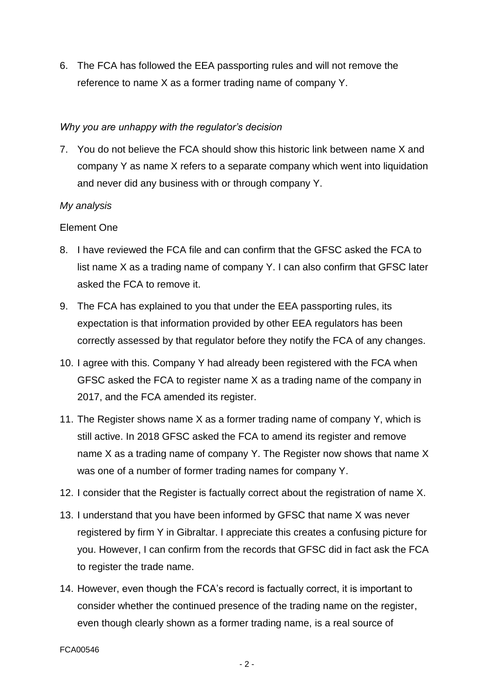6. The FCA has followed the EEA passporting rules and will not remove the reference to name X as a former trading name of company Y.

### *Why you are unhappy with the regulator's decision*

7. You do not believe the FCA should show this historic link between name X and company Y as name X refers to a separate company which went into liquidation and never did any business with or through company Y.

### *My analysis*

### Element One

- 8. I have reviewed the FCA file and can confirm that the GFSC asked the FCA to list name X as a trading name of company Y. I can also confirm that GFSC later asked the FCA to remove it.
- 9. The FCA has explained to you that under the EEA passporting rules, its expectation is that information provided by other EEA regulators has been correctly assessed by that regulator before they notify the FCA of any changes.
- 10. I agree with this. Company Y had already been registered with the FCA when GFSC asked the FCA to register name X as a trading name of the company in 2017, and the FCA amended its register.
- 11. The Register shows name X as a former trading name of company Y, which is still active. In 2018 GFSC asked the FCA to amend its register and remove name X as a trading name of company Y. The Register now shows that name X was one of a number of former trading names for company Y.
- 12. I consider that the Register is factually correct about the registration of name X.
- 13. I understand that you have been informed by GFSC that name X was never registered by firm Y in Gibraltar. I appreciate this creates a confusing picture for you. However, I can confirm from the records that GFSC did in fact ask the FCA to register the trade name.
- 14. However, even though the FCA's record is factually correct, it is important to consider whether the continued presence of the trading name on the register, even though clearly shown as a former trading name, is a real source of

#### FCA00546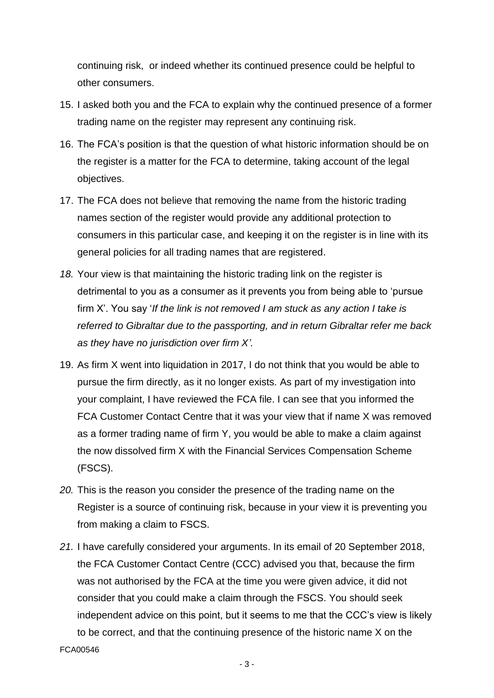continuing risk, or indeed whether its continued presence could be helpful to other consumers.

- 15. I asked both you and the FCA to explain why the continued presence of a former trading name on the register may represent any continuing risk.
- 16. The FCA's position is that the question of what historic information should be on the register is a matter for the FCA to determine, taking account of the legal objectives.
- 17. The FCA does not believe that removing the name from the historic trading names section of the register would provide any additional protection to consumers in this particular case, and keeping it on the register is in line with its general policies for all trading names that are registered.
- *18.* Your view is that maintaining the historic trading link on the register is detrimental to you as a consumer as it prevents you from being able to 'pursue firm X'. You say '*If the link is not removed I am stuck as any action I take is referred to Gibraltar due to the passporting, and in return Gibraltar refer me back as they have no jurisdiction over firm X'.*
- 19. As firm X went into liquidation in 2017, I do not think that you would be able to pursue the firm directly, as it no longer exists. As part of my investigation into your complaint, I have reviewed the FCA file. I can see that you informed the FCA Customer Contact Centre that it was your view that if name X was removed as a former trading name of firm Y, you would be able to make a claim against the now dissolved firm X with the Financial Services Compensation Scheme (FSCS).
- *20.* This is the reason you consider the presence of the trading name on the Register is a source of continuing risk, because in your view it is preventing you from making a claim to FSCS.
- FCA00546 *21.* I have carefully considered your arguments. In its email of 20 September 2018, the FCA Customer Contact Centre (CCC) advised you that, because the firm was not authorised by the FCA at the time you were given advice, it did not consider that you could make a claim through the FSCS. You should seek independent advice on this point, but it seems to me that the CCC's view is likely to be correct, and that the continuing presence of the historic name X on the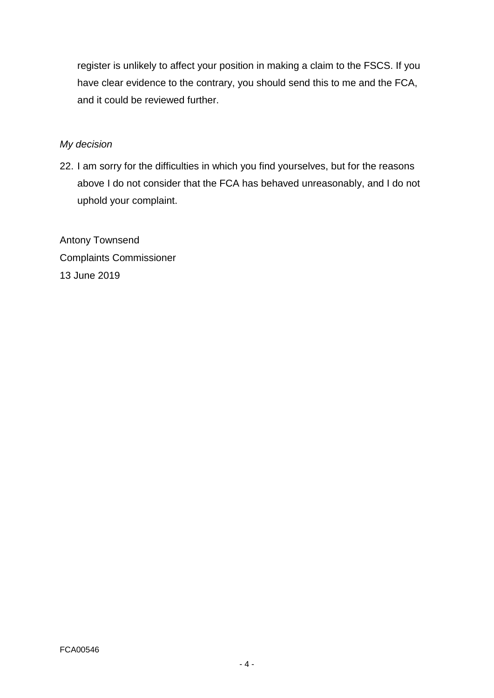register is unlikely to affect your position in making a claim to the FSCS. If you have clear evidence to the contrary, you should send this to me and the FCA, and it could be reviewed further.

# *My decision*

22. I am sorry for the difficulties in which you find yourselves, but for the reasons above I do not consider that the FCA has behaved unreasonably, and I do not uphold your complaint.

Antony Townsend Complaints Commissioner 13 June 2019